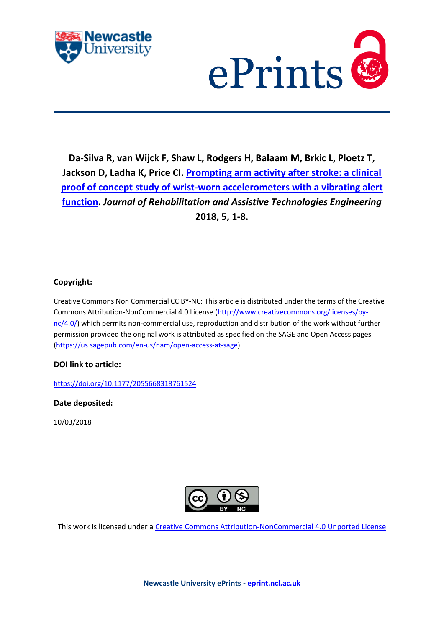



**Da-Silva R, van Wijck F, Shaw L, Rodgers H, Balaam M, Brkic L, Ploetz T, Jackson D, Ladha K, Price CI. [Prompting arm activity after stroke: a clinical](https://myimpact.ncl.ac.uk/ViewPublication.aspx?id=246778)  [proof of concept study of wrist-worn accelerometers with a vibrating alert](https://myimpact.ncl.ac.uk/ViewPublication.aspx?id=246778)  [function.](https://myimpact.ncl.ac.uk/ViewPublication.aspx?id=246778)** *Journal of Rehabilitation and Assistive Technologies Engineering* **2018, 5, 1-8.**

# **Copyright:**

Creative Commons Non Commercial CC BY-NC: This article is distributed under the terms of the Creative Commons Attribution-NonCommercial 4.0 License [\(http://www.creativecommons.org/licenses/by](http://www.creativecommons.org/licenses/by-nc/4.0/)[nc/4.0/\)](http://www.creativecommons.org/licenses/by-nc/4.0/) which permits non-commercial use, reproduction and distribution of the work without further permission provided the original work is attributed as specified on the SAGE and Open Access pages [\(https://us.sagepub.com/en-us/nam/open-access-at-sage\)](https://us.sagepub.com/en-us/nam/open-access-at-sage).

# **DOI link to article:**

<https://doi.org/10.1177/2055668318761524>

**Date deposited:** 

10/03/2018



This work is licensed under a [Creative Commons Attribution-NonCommercial 4.0 Unported License](http://www.creativecommons.org/licenses/by-nc/4.0/)

**Newcastle University ePrints - [eprint.ncl.ac.uk](http://eprint.ncl.ac.uk/)**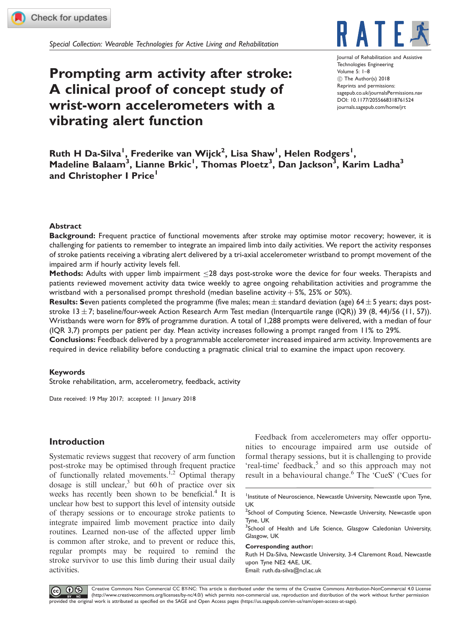Special Collection: Wearable Technologies for Active Living and Rehabilitation

# Prompting arm activity after stroke: A clinical proof of concept study of wrist-worn accelerometers with a vibrating alert function

K A I

**Journal of Rehabilitation and Assistive** Technologies Engineering Volume 5: 1–8 C The Author(s) 2018 Reprints and permissions: [sagepub.co.uk/journalsPermissions.nav](https://uk.sagepub.com/en-gb/journals-permissions) DOI: [10.1177/2055668318761524](https://doi.org/10.1177/2055668318761524) <journals.sagepub.com/home/jrt>

Ruth H Da-Silva<sup>1</sup>, Frederike van Wijck<sup>2</sup>, Lisa Shaw<sup>1</sup>, Helen Rodgers<sup>1</sup>, Madeline Balaam<sup>3</sup>, Lianne Brkic<sup>l</sup>, Thomas Ploetz<sup>3</sup>, Dan Jackson<sup>3</sup>, Karim Ladha<sup>3</sup> and Christopher I Price'

## Abstract

Background: Frequent practice of functional movements after stroke may optimise motor recovery; however, it is challenging for patients to remember to integrate an impaired limb into daily activities. We report the activity responses of stroke patients receiving a vibrating alert delivered by a tri-axial accelerometer wristband to prompt movement of the impaired arm if hourly activity levels fell.

Methods: Adults with upper limb impairment  $\leq$ 28 days post-stroke wore the device for four weeks. Therapists and patients reviewed movement activity data twice weekly to agree ongoing rehabilitation activities and programme the wristband with a personalised prompt threshold (median baseline activity  $+5\%$ , 25% or 50%).

**Results: Seven patients completed the programme (five males; mean**  $\pm$  **standard deviation (age) 64**  $\pm$  **5 years; days post**stroke 13  $\pm$  7; baseline/four-week Action Research Arm Test median (Interquartile range (IQR)) 39 (8, 44)/56 (11, 57)). Wristbands were worn for 89% of programme duration. A total of 1,288 prompts were delivered, with a median of four (IQR 3,7) prompts per patient per day. Mean activity increases following a prompt ranged from 11% to 29%.

Conclusions: Feedback delivered by a programmable accelerometer increased impaired arm activity. Improvements are required in device reliability before conducting a pragmatic clinical trial to examine the impact upon recovery.

### Keywords

Stroke rehabilitation, arm, accelerometry, feedback, activity

Date received: 19 May 2017; accepted: 11 January 2018

## Introduction

Systematic reviews suggest that recovery of arm function post-stroke may be optimised through frequent practice of functionally related movements.<sup>1,2</sup> Optimal therapy dosage is still unclear,<sup>3</sup> but 60 h of practice over six weeks has recently been shown to be beneficial.<sup>4</sup> It is unclear how best to support this level of intensity outside of therapy sessions or to encourage stroke patients to integrate impaired limb movement practice into daily routines. Learned non-use of the affected upper limb is common after stroke, and to prevent or reduce this, regular prompts may be required to remind the stroke survivor to use this limb during their usual daily activities.

Feedback from accelerometers may offer opportunities to encourage impaired arm use outside of formal therapy sessions, but it is challenging to provide 'real-time' feedback, $5$  and so this approach may not result in a behavioural change.<sup>6</sup> The 'CueS' ('Cues for

#### Corresponding author:

Ruth H Da-Silva, Newcastle University, 3-4 Claremont Road, Newcastle upon Tyne NE2 4AE, UK. Email: ruth.da-silva@ncl.ac.uk

 $\circledcirc$   $\bullet$   $\circledcirc$ 

Creative Commons Non Commercial CC BY-NC: This article is distributed under the terms of the Creative Commons Attribution-NonCommercial 4.0 License (http://www.creativecommons.org/licenses/by-nc/4.0/) which permits non-commercial use, reproduction and distribution of the work without further permission provided the original work is attributed as specified on the SAGE and Open Access pages (https://us.sagepub.com/en-us/nam/open-access-at-sage).

<sup>&</sup>lt;sup>1</sup>Institute of Neuroscience, Newcastle University, Newcastle upon Tyne, UK

<sup>&</sup>lt;sup>2</sup>School of Computing Science, Newcastle University, Newcastle upon Tyne, UK

<sup>&</sup>lt;sup>3</sup>School of Health and Life Science, Glasgow Caledonian University, Glasgow, UK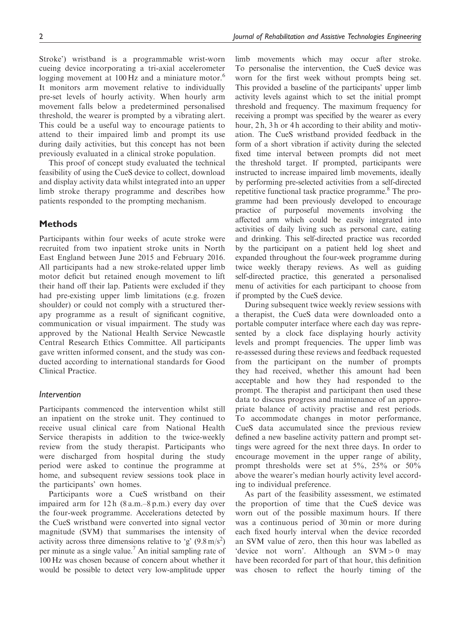Stroke') wristband is a programmable wrist-worn cueing device incorporating a tri-axial accelerometer logging movement at  $100 \text{ Hz}$  and a miniature motor.<sup>6</sup> It monitors arm movement relative to individually pre-set levels of hourly activity. When hourly arm movement falls below a predetermined personalised threshold, the wearer is prompted by a vibrating alert. This could be a useful way to encourage patients to attend to their impaired limb and prompt its use during daily activities, but this concept has not been previously evaluated in a clinical stroke population.

This proof of concept study evaluated the technical feasibility of using the CueS device to collect, download and display activity data whilst integrated into an upper limb stroke therapy programme and describes how patients responded to the prompting mechanism.

## Methods

Participants within four weeks of acute stroke were recruited from two inpatient stroke units in North East England between June 2015 and February 2016. All participants had a new stroke-related upper limb motor deficit but retained enough movement to lift their hand off their lap. Patients were excluded if they had pre-existing upper limb limitations (e.g. frozen shoulder) or could not comply with a structured therapy programme as a result of significant cognitive, communication or visual impairment. The study was approved by the National Health Service Newcastle Central Research Ethics Committee. All participants gave written informed consent, and the study was conducted according to international standards for Good Clinical Practice.

### Intervention

Participants commenced the intervention whilst still an inpatient on the stroke unit. They continued to receive usual clinical care from National Health Service therapists in addition to the twice-weekly review from the study therapist. Participants who were discharged from hospital during the study period were asked to continue the programme at home, and subsequent review sessions took place in the participants' own homes.

Participants wore a CueS wristband on their impaired arm for 12 h (8 a.m.–8 p.m.) every day over the four-week programme. Accelerations detected by the CueS wristband were converted into signal vector magnitude (SVM) that summarises the intensity of activity across three dimensions relative to 'g'  $(9.8 \text{ m/s}^2)$ per minute as a single value.<sup>7</sup> An initial sampling rate of 100 Hz was chosen because of concern about whether it would be possible to detect very low-amplitude upper limb movements which may occur after stroke. To personalise the intervention, the CueS device was worn for the first week without prompts being set. This provided a baseline of the participants' upper limb activity levels against which to set the initial prompt threshold and frequency. The maximum frequency for receiving a prompt was specified by the wearer as every hour, 2 h, 3 h or 4 h according to their ability and motivation. The CueS wristband provided feedback in the form of a short vibration if activity during the selected fixed time interval between prompts did not meet the threshold target. If prompted, participants were instructed to increase impaired limb movements, ideally by performing pre-selected activities from a self-directed repetitive functional task practice programme.<sup>8</sup> The programme had been previously developed to encourage practice of purposeful movements involving the affected arm which could be easily integrated into activities of daily living such as personal care, eating and drinking. This self-directed practice was recorded by the participant on a patient held log sheet and expanded throughout the four-week programme during twice weekly therapy reviews. As well as guiding self-directed practice, this generated a personalised menu of activities for each participant to choose from if prompted by the CueS device.

During subsequent twice weekly review sessions with a therapist, the CueS data were downloaded onto a portable computer interface where each day was represented by a clock face displaying hourly activity levels and prompt frequencies. The upper limb was re-assessed during these reviews and feedback requested from the participant on the number of prompts they had received, whether this amount had been acceptable and how they had responded to the prompt. The therapist and participant then used these data to discuss progress and maintenance of an appropriate balance of activity practise and rest periods. To accommodate changes in motor performance, CueS data accumulated since the previous review defined a new baseline activity pattern and prompt settings were agreed for the next three days. In order to encourage movement in the upper range of ability, prompt thresholds were set at 5%, 25% or 50% above the wearer's median hourly activity level according to individual preference.

As part of the feasibility assessment, we estimated the proportion of time that the CueS device was worn out of the possible maximum hours. If there was a continuous period of 30 min or more during each fixed hourly interval when the device recorded an SVM value of zero, then this hour was labelled as 'device not worn'. Although an SVM > 0 may have been recorded for part of that hour, this definition was chosen to reflect the hourly timing of the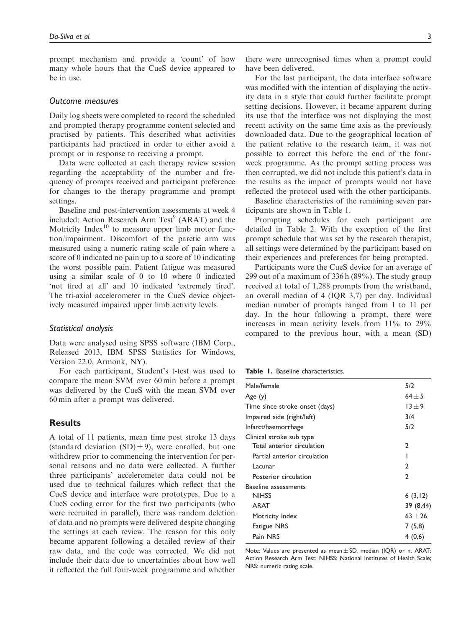prompt mechanism and provide a 'count' of how many whole hours that the CueS device appeared to be in use.

## Outcome measures

Daily log sheets were completed to record the scheduled and prompted therapy programme content selected and practised by patients. This described what activities participants had practiced in order to either avoid a prompt or in response to receiving a prompt.

Data were collected at each therapy review session regarding the acceptability of the number and frequency of prompts received and participant preference for changes to the therapy programme and prompt settings.

Baseline and post-intervention assessments at week 4 included: Action Research Arm  $Test^9$  (ARAT) and the Motricity  $Index<sup>10</sup>$  to measure upper limb motor function/impairment. Discomfort of the paretic arm was measured using a numeric rating scale of pain where a score of 0 indicated no pain up to a score of 10 indicating the worst possible pain. Patient fatigue was measured using a similar scale of 0 to 10 where 0 indicated 'not tired at all' and 10 indicated 'extremely tired'. The tri-axial accelerometer in the CueS device objectively measured impaired upper limb activity levels.

### Statistical analysis

Data were analysed using SPSS software (IBM Corp., Released 2013, IBM SPSS Statistics for Windows, Version 22.0, Armonk, NY).

For each participant, Student's t-test was used to compare the mean SVM over 60 min before a prompt was delivered by the CueS with the mean SVM over 60 min after a prompt was delivered.

## **Results**

A total of 11 patients, mean time post stroke 13 days (standard deviation  $(SD) \pm 9$ ), were enrolled, but one withdrew prior to commencing the intervention for personal reasons and no data were collected. A further three participants' accelerometer data could not be used due to technical failures which reflect that the CueS device and interface were prototypes. Due to a CueS coding error for the first two participants (who were recruited in parallel), there was random deletion of data and no prompts were delivered despite changing the settings at each review. The reason for this only became apparent following a detailed review of their raw data, and the code was corrected. We did not include their data due to uncertainties about how well it reflected the full four-week programme and whether there were unrecognised times when a prompt could have been delivered.

For the last participant, the data interface software was modified with the intention of displaying the activity data in a style that could further facilitate prompt setting decisions. However, it became apparent during its use that the interface was not displaying the most recent activity on the same time axis as the previously downloaded data. Due to the geographical location of the patient relative to the research team, it was not possible to correct this before the end of the fourweek programme. As the prompt setting process was then corrupted, we did not include this patient's data in the results as the impact of prompts would not have reflected the protocol used with the other participants.

Baseline characteristics of the remaining seven participants are shown in Table 1.

Prompting schedules for each participant are detailed in Table 2. With the exception of the first prompt schedule that was set by the research therapist, all settings were determined by the participant based on their experiences and preferences for being prompted.

Participants wore the CueS device for an average of 299 out of a maximum of 336 h (89%). The study group received at total of 1,288 prompts from the wristband, an overall median of 4 (IQR 3,7) per day. Individual median number of prompts ranged from 1 to 11 per day. In the hour following a prompt, there were increases in mean activity levels from 11% to 29% compared to the previous hour, with a mean (SD)

### Table 1. Baseline characteristics.

| Male/female                    | 5/2           |
|--------------------------------|---------------|
| Age(y)                         | $64 \pm 5$    |
| Time since stroke onset (days) | $13 + 9$      |
| Impaired side (right/left)     | 3/4           |
| Infarct/haemorrhage            | 5/2           |
| Clinical stroke sub type       |               |
| Total anterior circulation     | 2             |
| Partial anterior circulation   |               |
| Lacunar                        | $\mathcal{L}$ |
| Posterior circulation          | $\mathcal{L}$ |
| <b>Baseline assessments</b>    |               |
| <b>NIHSS</b>                   | 6(3,12)       |
| ARAT                           | 39 (8,44)     |
| Motricity Index                | $63 + 26$     |
| <b>Fatigue NRS</b>             | 7(5,8)        |
| Pain NRS                       | 4(0,6)        |

Note: Values are presented as mean  $\pm$  SD, median (IQR) or n. ARAT: Action Research Arm Test; NIHSS: National Institutes of Health Scale; NRS: numeric rating scale.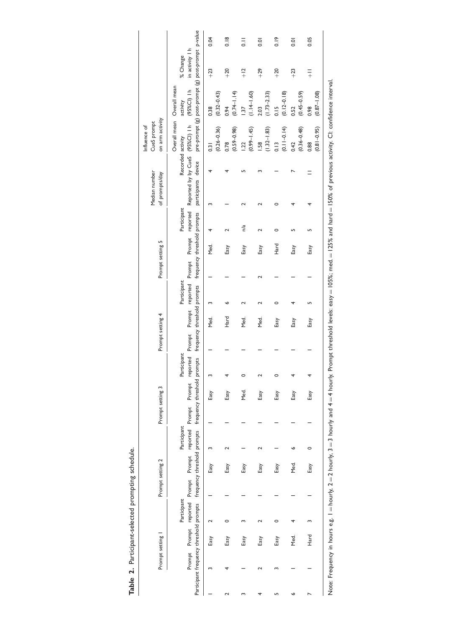| ֡֘<br>֧֧֧֧֧֚֚֚֚֚֚֚֚֚֚֚֚֚֚֚֚֚֚֚֚֚֚֚֚֚֚֚֚֚֚֚֬֡֡֡֡֡֡֓֡֡֡֬֡֡ |
|----------------------------------------------------------|
| ١<br>$\sim$ 100 mm $\approx$ 1.                          |
| Ì<br>ï                                                   |
| i                                                        |
|                                                          |

| pre-prompt (g) post-prompt (g) post-prompt p-value<br>Overall mean Overall mean<br>$(95\%$ CI) Ih<br>$(0.32 - 0.43)$<br>$(0.74 - 1.14)$<br>$(1.14 - 1.60)$<br>$(0.12 - 0.18)$<br>$(1.73 - 2.33)$<br>$(0.45 - 0.59)$<br>$(0.87 - 1.08)$<br>activity<br>0.38<br>0.94<br>0.15<br>0.98<br>2.03<br>0.52<br>on arm activity<br>CueS prompt<br>Prompt Prompt reported Prompt Prompt reported Reported by by CueS (95%CI) I h<br>Influence of<br>$(0.81 - 0.95)$<br>$(0.26 - 0.36)$<br>$(0.59 - 0.98)$<br>$(0.99 - 1.45)$<br>$(0.11 - 0.14)$<br>$(0.36 - 0.48)$<br>$(1.32 - 1.83)$<br>Recorded activity<br>1.58<br>0.88<br>0.78<br>1.22<br>0.13<br>0.42<br>0.31<br>participants device<br>Median number<br>of prompts/day<br>Participant<br>frequency threshold prompts<br>n/a<br>O<br>Prompt setting 5<br>Hard<br>Med.<br>Easy<br>Easy<br>Easy<br>Easy<br>Easy<br>Participant<br>frequency threshold prompts<br>Prompt setting 4<br>Hard<br>Med.<br>Med.<br>Med.<br>Easy<br>Easy<br>Easy<br>Participant<br>reported<br>Participant frequency threshold prompts frequency threshold prompts frequency threshold prompts<br>Prompt Prompt reported Prompt Prompt reported Prompt Prompt<br>Prompt setting 3<br>Med.<br>Easy<br>Easy<br>Easy<br>Easy<br>Easy<br>Easy<br>Participant<br>۰<br>0<br>Prompt setting 2<br>Med.<br>Easy<br>Easy<br>Easy<br>Easy<br>Easy<br>Easy<br>Participant<br>Prompt setting<br>Hard<br>Med.<br>Easy<br>Easy<br>Easy<br>Easy<br>Easy |
|----------------------------------------------------------------------------------------------------------------------------------------------------------------------------------------------------------------------------------------------------------------------------------------------------------------------------------------------------------------------------------------------------------------------------------------------------------------------------------------------------------------------------------------------------------------------------------------------------------------------------------------------------------------------------------------------------------------------------------------------------------------------------------------------------------------------------------------------------------------------------------------------------------------------------------------------------------------------------------------------------------------------------------------------------------------------------------------------------------------------------------------------------------------------------------------------------------------------------------------------------------------------------------------------------------------------------------------------------------------------------------------------------------------------------------------------------------|
|                                                                                                                                                                                                                                                                                                                                                                                                                                                                                                                                                                                                                                                                                                                                                                                                                                                                                                                                                                                                                                                                                                                                                                                                                                                                                                                                                                                                                                                          |
|                                                                                                                                                                                                                                                                                                                                                                                                                                                                                                                                                                                                                                                                                                                                                                                                                                                                                                                                                                                                                                                                                                                                                                                                                                                                                                                                                                                                                                                          |
|                                                                                                                                                                                                                                                                                                                                                                                                                                                                                                                                                                                                                                                                                                                                                                                                                                                                                                                                                                                                                                                                                                                                                                                                                                                                                                                                                                                                                                                          |
|                                                                                                                                                                                                                                                                                                                                                                                                                                                                                                                                                                                                                                                                                                                                                                                                                                                                                                                                                                                                                                                                                                                                                                                                                                                                                                                                                                                                                                                          |
|                                                                                                                                                                                                                                                                                                                                                                                                                                                                                                                                                                                                                                                                                                                                                                                                                                                                                                                                                                                                                                                                                                                                                                                                                                                                                                                                                                                                                                                          |
|                                                                                                                                                                                                                                                                                                                                                                                                                                                                                                                                                                                                                                                                                                                                                                                                                                                                                                                                                                                                                                                                                                                                                                                                                                                                                                                                                                                                                                                          |
|                                                                                                                                                                                                                                                                                                                                                                                                                                                                                                                                                                                                                                                                                                                                                                                                                                                                                                                                                                                                                                                                                                                                                                                                                                                                                                                                                                                                                                                          |
|                                                                                                                                                                                                                                                                                                                                                                                                                                                                                                                                                                                                                                                                                                                                                                                                                                                                                                                                                                                                                                                                                                                                                                                                                                                                                                                                                                                                                                                          |
|                                                                                                                                                                                                                                                                                                                                                                                                                                                                                                                                                                                                                                                                                                                                                                                                                                                                                                                                                                                                                                                                                                                                                                                                                                                                                                                                                                                                                                                          |
|                                                                                                                                                                                                                                                                                                                                                                                                                                                                                                                                                                                                                                                                                                                                                                                                                                                                                                                                                                                                                                                                                                                                                                                                                                                                                                                                                                                                                                                          |
|                                                                                                                                                                                                                                                                                                                                                                                                                                                                                                                                                                                                                                                                                                                                                                                                                                                                                                                                                                                                                                                                                                                                                                                                                                                                                                                                                                                                                                                          |
|                                                                                                                                                                                                                                                                                                                                                                                                                                                                                                                                                                                                                                                                                                                                                                                                                                                                                                                                                                                                                                                                                                                                                                                                                                                                                                                                                                                                                                                          |
|                                                                                                                                                                                                                                                                                                                                                                                                                                                                                                                                                                                                                                                                                                                                                                                                                                                                                                                                                                                                                                                                                                                                                                                                                                                                                                                                                                                                                                                          |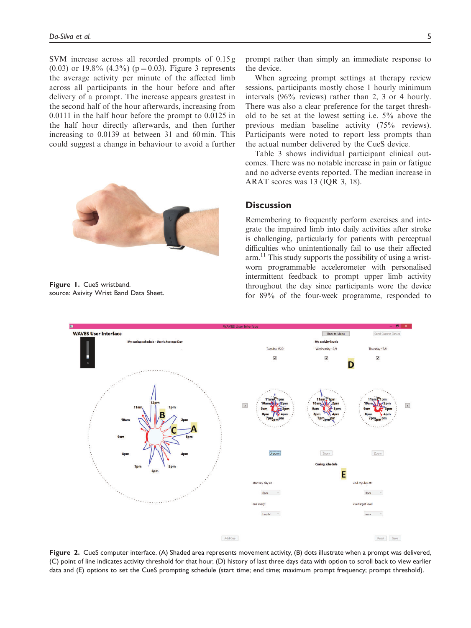SVM increase across all recorded prompts of 0.15 g (0.03) or 19.8% (4.3%) ( $p = 0.03$ ). Figure 3 represents the average activity per minute of the affected limb across all participants in the hour before and after delivery of a prompt. The increase appears greatest in the second half of the hour afterwards, increasing from 0.0111 in the half hour before the prompt to 0.0125 in the half hour directly afterwards, and then further increasing to 0.0139 at between 31 and 60 min. This could suggest a change in behaviour to avoid a further



Figure 1. CueS wristband. source: Axivity Wrist Band Data Sheet.

prompt rather than simply an immediate response to the device.

When agreeing prompt settings at therapy review sessions, participants mostly chose 1 hourly minimum intervals (96% reviews) rather than 2, 3 or 4 hourly. There was also a clear preference for the target threshold to be set at the lowest setting i.e. 5% above the previous median baseline activity (75% reviews). Participants were noted to report less prompts than the actual number delivered by the CueS device.

Table 3 shows individual participant clinical outcomes. There was no notable increase in pain or fatigue and no adverse events reported. The median increase in ARAT scores was 13 (IQR 3, 18).

## **Discussion**

Remembering to frequently perform exercises and integrate the impaired limb into daily activities after stroke is challenging, particularly for patients with perceptual difficulties who unintentionally fail to use their affected arm.11 This study supports the possibility of using a wristworn programmable accelerometer with personalised intermittent feedback to prompt upper limb activity throughout the day since participants wore the device for 89% of the four-week programme, responded to



Figure 2. CueS computer interface. (A) Shaded area represents movement activity, (B) dots illustrate when a prompt was delivered, (C) point of line indicates activity threshold for that hour, (D) history of last three days data with option to scroll back to view earlier data and (E) options to set the CueS prompting schedule (start time; end time; maximum prompt frequency; prompt threshold).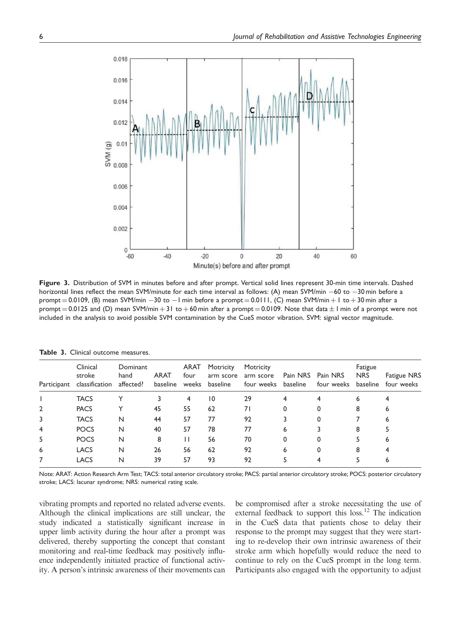

Figure 3. Distribution of SVM in minutes before and after prompt. Vertical solid lines represent 30-min time intervals. Dashed horizontal lines reflect the mean SVM/minute for each time interval as follows: (A) mean SVM/min -60 to -30 min before a prompt = 0.0109, (B) mean SVM/min -30 to -1 min before a prompt = 0.0111, (C) mean SVM/min +1 to +30 min after a prompt = 0.0125 and (D) mean SVM/min + 31 to + 60 min after a prompt = 0.0109. Note that data  $\pm$  1 min of a prompt were not included in the analysis to avoid possible SVM contamination by the CueS motor vibration. SVM: signal vector magnitude.

| Participant    | Clinical<br>stroke<br>classification | Dominant<br>hand<br>affected? | <b>ARAT</b><br>baseline | ARAT<br>four<br>weeks | Motricity<br>arm score<br>baseline | Motricity<br>arm score<br>four weeks | Pain NRS<br>baseline | Pain NRS<br>four weeks | Fatigue<br><b>NRS</b><br>baseline | <b>Fatigue NRS</b><br>four weeks |
|----------------|--------------------------------------|-------------------------------|-------------------------|-----------------------|------------------------------------|--------------------------------------|----------------------|------------------------|-----------------------------------|----------------------------------|
|                | <b>TACS</b>                          |                               |                         | 4                     | $\overline{10}$                    | 29                                   |                      | 4                      | 6                                 |                                  |
| $\overline{2}$ | <b>PACS</b>                          | $\check{ }$                   | 45                      | 55                    | 62                                 | 71                                   | 0                    | 0                      | 8                                 | 6                                |
| 3              | <b>TACS</b>                          | N                             | 44                      | 57                    | 77                                 | 92                                   |                      | 0                      |                                   | 6                                |
| 4              | <b>POCS</b>                          | N                             | 40                      | 57                    | 78                                 | 77                                   | 6                    |                        | 8                                 |                                  |
| 5              | <b>POCS</b>                          | N                             | 8                       | $\mathbf{L}$          | 56                                 | 70                                   | 0                    | 0                      |                                   | 6                                |
| 6              | <b>LACS</b>                          | N                             | 26                      | 56                    | 62                                 | 92                                   | 6                    | 0                      | 8                                 |                                  |
| 7              | LACS                                 | N                             | 39                      | 57                    | 93                                 | 92                                   |                      | 4                      |                                   | 6                                |

Note: ARAT: Action Research Arm Test; TACS: total anterior circulatory stroke; PACS: partial anterior circulatory stroke; POCS: posterior circulatory stroke; LACS: lacunar syndrome; NRS: numerical rating scale.

vibrating prompts and reported no related adverse events. Although the clinical implications are still unclear, the study indicated a statistically significant increase in upper limb activity during the hour after a prompt was delivered, thereby supporting the concept that constant monitoring and real-time feedback may positively influence independently initiated practice of functional activity. A person's intrinsic awareness of their movements can be compromised after a stroke necessitating the use of external feedback to support this loss.<sup>12</sup> The indication in the CueS data that patients chose to delay their response to the prompt may suggest that they were starting to re-develop their own intrinsic awareness of their stroke arm which hopefully would reduce the need to continue to rely on the CueS prompt in the long term. Participants also engaged with the opportunity to adjust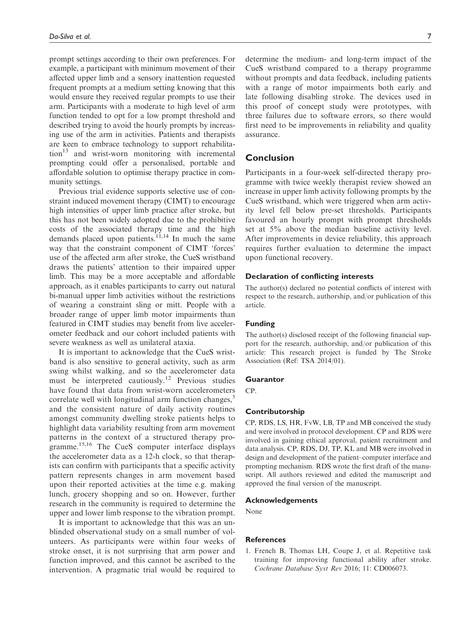prompt settings according to their own preferences. For example, a participant with minimum movement of their affected upper limb and a sensory inattention requested frequent prompts at a medium setting knowing that this would ensure they received regular prompts to use their arm. Participants with a moderate to high level of arm function tended to opt for a low prompt threshold and described trying to avoid the hourly prompts by increasing use of the arm in activities. Patients and therapists are keen to embrace technology to support rehabilita- $\mu$ <sup>13</sup> and wrist-worn monitoring with incremental prompting could offer a personalised, portable and affordable solution to optimise therapy practice in community settings.

Previous trial evidence supports selective use of constraint induced movement therapy (CIMT) to encourage high intensities of upper limb practice after stroke, but this has not been widely adopted due to the prohibitive costs of the associated therapy time and the high demands placed upon patients.<sup>11,14</sup> In much the same way that the constraint component of CIMT 'forces' use of the affected arm after stroke, the CueS wristband draws the patients' attention to their impaired upper limb. This may be a more acceptable and affordable approach, as it enables participants to carry out natural bi-manual upper limb activities without the restrictions of wearing a constraint sling or mitt. People with a broader range of upper limb motor impairments than featured in CIMT studies may benefit from live accelerometer feedback and our cohort included patients with severe weakness as well as unilateral ataxia.

It is important to acknowledge that the CueS wristband is also sensitive to general activity, such as arm swing whilst walking, and so the accelerometer data must be interpreted cautiously.<sup>12</sup> Previous studies have found that data from wrist-worn accelerometers correlate well with longitudinal arm function changes, $5$ and the consistent nature of daily activity routines amongst community dwelling stroke patients helps to highlight data variability resulting from arm movement patterns in the context of a structured therapy programme.15,16 The CueS computer interface displays the accelerometer data as a 12-h clock, so that therapists can confirm with participants that a specific activity pattern represents changes in arm movement based upon their reported activities at the time e.g. making lunch, grocery shopping and so on. However, further research in the community is required to determine the upper and lower limb response to the vibration prompt.

It is important to acknowledge that this was an unblinded observational study on a small number of volunteers. As participants were within four weeks of stroke onset, it is not surprising that arm power and function improved, and this cannot be ascribed to the intervention. A pragmatic trial would be required to determine the medium- and long-term impact of the CueS wristband compared to a therapy programme without prompts and data feedback, including patients with a range of motor impairments both early and late following disabling stroke. The devices used in this proof of concept study were prototypes, with three failures due to software errors, so there would first need to be improvements in reliability and quality assurance.

## Conclusion

Participants in a four-week self-directed therapy programme with twice weekly therapist review showed an increase in upper limb activity following prompts by the CueS wristband, which were triggered when arm activity level fell below pre-set thresholds. Participants favoured an hourly prompt with prompt thresholds set at 5% above the median baseline activity level. After improvements in device reliability, this approach requires further evaluation to determine the impact upon functional recovery.

## Declaration of conflicting interests

The author(s) declared no potential conflicts of interest with respect to the research, authorship, and/or publication of this article.

## Funding

The author(s) disclosed receipt of the following financial support for the research, authorship, and/or publication of this article: This research project is funded by The Stroke Association (Ref: TSA 2014/01).

#### Guarantor

CP.

#### Contributorship

CP, RDS, LS, HR, FvW, LB, TP and MB conceived the study and were involved in protocol development. CP and RDS were involved in gaining ethical approval, patient recruitment and data analysis. CP, RDS, DJ, TP, KL and MB were involved in design and development of the patient–computer interface and prompting mechanism. RDS wrote the first draft of the manuscript. All authors reviewed and edited the manuscript and approved the final version of the manuscript.

#### Acknowledgements

None

#### **References**

1. French B, Thomas LH, Coupe J, et al. Repetitive task training for improving functional ability after stroke. Cochrane Database Syst Rev 2016; 11: CD006073.